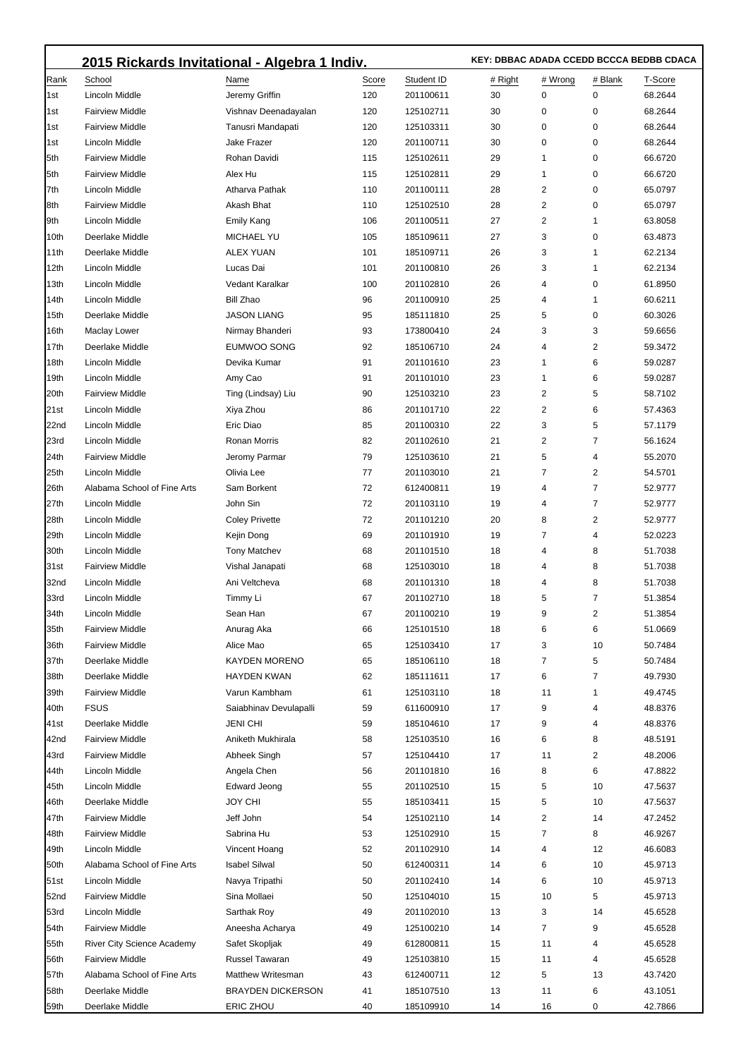|             | 2015 Rickards Invitational - Algebra 1 Indiv. | KEY: DBBAC ADADA CCEDD BCCCA BEDBB CDACA |       |            |         |         |         |         |
|-------------|-----------------------------------------------|------------------------------------------|-------|------------|---------|---------|---------|---------|
| Rank        | School                                        | Name                                     | Score | Student ID | # Right | # Wrong | # Blank | T-Score |
| l1st        | Lincoln Middle                                | Jeremy Griffin                           | 120   | 201100611  | 30      | 0       | 0       | 68.2644 |
| l1st        | <b>Fairview Middle</b>                        | Vishnav Deenadayalan                     | 120   | 125102711  | 30      | 0       | 0       | 68.2644 |
| 1st         | <b>Fairview Middle</b>                        | Tanusri Mandapati                        | 120   | 125103311  | 30      | 0       | 0       | 68.2644 |
| 1st         | Lincoln Middle                                | Jake Frazer                              | 120   | 201100711  | 30      | 0       | 0       | 68.2644 |
| 5th         | <b>Fairview Middle</b>                        | Rohan Davidi                             | 115   | 125102611  | 29      | 1       | 0       | 66.6720 |
| 5th         | <b>Fairview Middle</b>                        | Alex Hu                                  | 115   | 125102811  | 29      | 1       | 0       | 66.6720 |
| 7th         | Lincoln Middle                                | Atharva Pathak                           | 110   | 201100111  | 28      | 2       | 0       | 65.0797 |
| 8th         | <b>Fairview Middle</b>                        | Akash Bhat                               | 110   | 125102510  | 28      | 2       | 0       | 65.0797 |
| 9th         | Lincoln Middle                                | <b>Emily Kang</b>                        | 106   | 201100511  | 27      | 2       | 1       | 63.8058 |
| 10th        | Deerlake Middle                               | <b>MICHAEL YU</b>                        | 105   | 185109611  | 27      | 3       | 0       | 63.4873 |
| 11th        | Deerlake Middle                               | ALEX YUAN                                | 101   | 185109711  | 26      | 3       | 1       | 62.2134 |
| 12th        | Lincoln Middle                                | Lucas Dai                                | 101   | 201100810  | 26      | 3       | 1       | 62.2134 |
| 13th        | Lincoln Middle                                | Vedant Karalkar                          | 100   | 201102810  | 26      | 4       | 0       | 61.8950 |
| 14th        | Lincoln Middle                                | <b>Bill Zhao</b>                         | 96    | 201100910  | 25      | 4       | 1       | 60.6211 |
| 15th        | Deerlake Middle                               | <b>JASON LIANG</b>                       | 95    | 185111810  | 25      | 5       | 0       | 60.3026 |
| 16th        | Maclay Lower                                  | Nirmay Bhanderi                          | 93    | 173800410  | 24      | 3       | 3       | 59.6656 |
| 17th        | Deerlake Middle                               | EUMWOO SONG                              | 92    | 185106710  | 24      | 4       | 2       | 59.3472 |
| 18th        | Lincoln Middle                                | Devika Kumar                             | 91    | 201101610  | 23      | 1       | 6       | 59.0287 |
| 19th        | Lincoln Middle                                | Amy Cao                                  | 91    | 201101010  | 23      | 1       | 6       | 59.0287 |
| 20th        | <b>Fairview Middle</b>                        | Ting (Lindsay) Liu                       | 90    | 125103210  | 23      | 2       | 5       | 58.7102 |
| 21st        | Lincoln Middle                                | Xiya Zhou                                | 86    | 201101710  | 22      | 2       | 6       | 57.4363 |
| 22nd        | Lincoln Middle                                | Eric Diao                                | 85    | 201100310  | 22      | 3       | 5       | 57.1179 |
| 23rd        | Lincoln Middle                                | Ronan Morris                             | 82    | 201102610  | 21      | 2       | 7       | 56.1624 |
| 24th        | <b>Fairview Middle</b>                        | Jeromy Parmar                            | 79    | 125103610  | 21      | 5       | 4       | 55.2070 |
| 25th        | Lincoln Middle                                | Olivia Lee                               | 77    | 201103010  | 21      | 7       | 2       | 54.5701 |
| 26th        | Alabama School of Fine Arts                   | Sam Borkent                              | 72    | 612400811  | 19      | 4       | 7       | 52.9777 |
| 27th        | Lincoln Middle                                | John Sin                                 | 72    | 201103110  | 19      | 4       | 7       | 52.9777 |
| 28th        | Lincoln Middle                                | <b>Coley Privette</b>                    | 72    | 201101210  | 20      | 8       | 2       | 52.9777 |
| 29th        | Lincoln Middle                                | Kejin Dong                               | 69    | 201101910  | 19      | 7       | 4       | 52.0223 |
| 30th        | Lincoln Middle                                | <b>Tony Matchev</b>                      | 68    | 201101510  | 18      | 4       | 8       | 51.7038 |
| 31st        | <b>Fairview Middle</b>                        | Vishal Janapati                          | 68    | 125103010  | 18      | 4       | 8       | 51.7038 |
| 32nd        | Lincoln Middle                                | Ani Veltcheva                            | 68    | 201101310  | 18      | 4       | 8       | 51.7038 |
| 33rd        | Lincoln Middle                                | Timmy Li                                 | 67    | 201102710  | 18      | 5       | 7       | 51.3854 |
| 34th        | Lincoln Middle                                | Sean Han                                 | 67    | 201100210  | 19      | 9       | 2       | 51.3854 |
| 35th        | <b>Fairview Middle</b>                        | Anurag Aka                               | 66    | 125101510  | 18      | 6       | 6       | 51.0669 |
| 36th        | <b>Fairview Middle</b>                        | Alice Mao                                | 65    | 125103410  | 17      | 3       | 10      | 50.7484 |
| 37th        | Deerlake Middle                               | <b>KAYDEN MORENO</b>                     | 65    | 185106110  | 18      | 7       | 5       | 50.7484 |
| 38th        | Deerlake Middle                               | <b>HAYDEN KWAN</b>                       | 62    | 185111611  | 17      | 6       | 7       | 49.7930 |
| 39th        | <b>Fairview Middle</b>                        | Varun Kambham                            | 61    | 125103110  | 18      | 11      | 1       | 49.4745 |
| 40th        | <b>FSUS</b>                                   | Saiabhinav Devulapalli                   | 59    | 611600910  | 17      | 9       | 4       | 48.8376 |
| 41st        | Deerlake Middle                               | JENI CHI                                 | 59    | 185104610  | 17      | 9       | 4       | 48.8376 |
| 42nd        | <b>Fairview Middle</b>                        | Aniketh Mukhirala                        | 58    | 125103510  | 16      | 6       | 8       | 48.5191 |
| 43rd        | <b>Fairview Middle</b>                        | Abheek Singh                             | 57    | 125104410  | 17      | 11      | 2       | 48.2006 |
| 44th        | Lincoln Middle                                | Angela Chen                              | 56    | 201101810  | 16      | 8       | 6       | 47.8822 |
| 45th        | Lincoln Middle                                | <b>Edward Jeong</b>                      | 55    | 201102510  | 15      | 5       | 10      | 47.5637 |
| 46th        | Deerlake Middle                               | JOY CHI                                  | 55    | 185103411  | 15      | 5       | 10      | 47.5637 |
| 47th        | <b>Fairview Middle</b>                        | Jeff John                                | 54    | 125102110  | 14      | 2       | 14      | 47.2452 |
| 48th        | <b>Fairview Middle</b>                        | Sabrina Hu                               | 53    | 125102910  | 15      | 7       | 8       | 46.9267 |
| 49th        | Lincoln Middle                                | Vincent Hoang                            | 52    | 201102910  | 14      | 4       | 12      | 46.6083 |
| 50th        | Alabama School of Fine Arts                   | <b>Isabel Silwal</b>                     | 50    | 612400311  | 14      | 6       | 10      | 45.9713 |
| 51st        | Lincoln Middle                                | Navya Tripathi                           | 50    | 201102410  | 14      | 6       | 10      | 45.9713 |
| 52nd        | <b>Fairview Middle</b>                        | Sina Mollaei                             | 50    | 125104010  | 15      | 10      | 5       | 45.9713 |
| 53rd        | Lincoln Middle                                | Sarthak Roy                              | 49    | 201102010  | 13      | 3       | 14      | 45.6528 |
| 54th        | <b>Fairview Middle</b>                        | Aneesha Acharya                          | 49    | 125100210  | 14      | 7       | 9       | 45.6528 |
| 55th        | <b>River City Science Academy</b>             | Safet Skopljak                           | 49    | 612800811  | 15      | 11      | 4       | 45.6528 |
| 56th        | <b>Fairview Middle</b>                        | Russel Tawaran                           | 49    | 125103810  | 15      | 11      | 4       | 45.6528 |
| 57th        | Alabama School of Fine Arts                   | <b>Matthew Writesman</b>                 | 43    | 612400711  | 12      | 5       | 13      | 43.7420 |
| 58th        | Deerlake Middle                               | <b>BRAYDEN DICKERSON</b>                 | 41    | 185107510  | 13      | 11      | 6       | 43.1051 |
| <b>59th</b> | Deerlake Middle                               | ERIC ZHOU                                | 40    | 185109910  | 14      | 16      | 0       | 42.7866 |